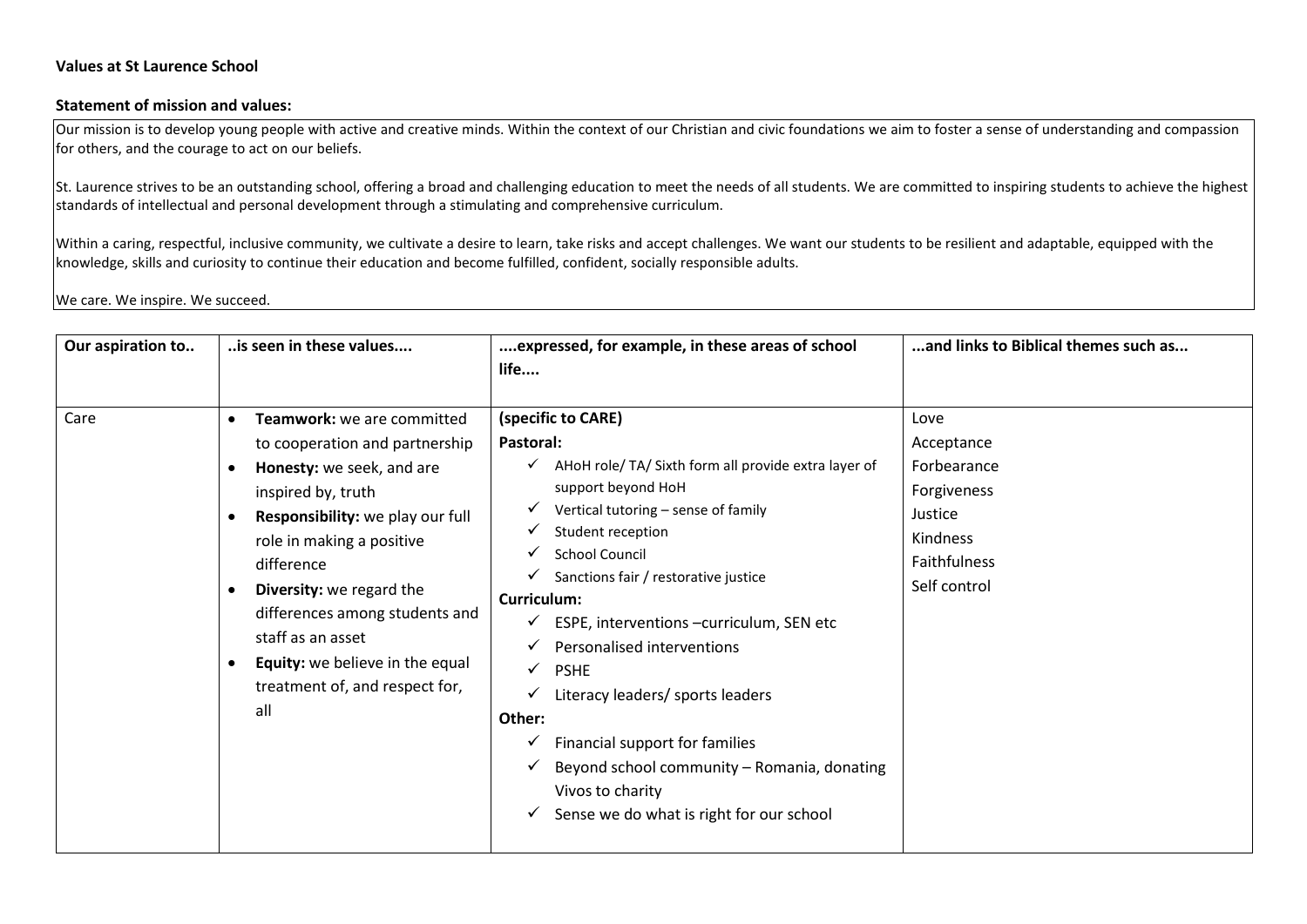## **Statement of mission and values:**

Our mission is to develop young people with active and creative minds. Within the context of our Christian and civic foundations we aim to foster a sense of understanding and compassion for others, and the courage to act on our beliefs.

St. Laurence strives to be an outstanding school, offering a broad and challenging education to meet the needs of all students. We are committed to inspiring students to achieve the highest standards of intellectual and personal development through a stimulating and comprehensive curriculum.

Within a caring, respectful, inclusive community, we cultivate a desire to learn, take risks and accept challenges. We want our students to be resilient and adaptable, equipped with the knowledge, skills and curiosity to continue their education and become fulfilled, confident, socially responsible adults.

We care. We inspire. We succeed.

| Our aspiration to | is seen in these values                                                                                                                                                                                                                                                                                                                                       | expressed, for example, in these areas of school<br>life                                                                                                                                                                                                                                                                                                                                                                                                                                                                                                                           | and links to Biblical themes such as                                                                    |
|-------------------|---------------------------------------------------------------------------------------------------------------------------------------------------------------------------------------------------------------------------------------------------------------------------------------------------------------------------------------------------------------|------------------------------------------------------------------------------------------------------------------------------------------------------------------------------------------------------------------------------------------------------------------------------------------------------------------------------------------------------------------------------------------------------------------------------------------------------------------------------------------------------------------------------------------------------------------------------------|---------------------------------------------------------------------------------------------------------|
| Care              | Teamwork: we are committed<br>to cooperation and partnership<br>Honesty: we seek, and are<br>inspired by, truth<br>Responsibility: we play our full<br>role in making a positive<br>difference<br>Diversity: we regard the<br>differences among students and<br>staff as an asset<br>Equity: we believe in the equal<br>treatment of, and respect for,<br>all | (specific to CARE)<br>Pastoral:<br>$\checkmark$ AHoH role/TA/Sixth form all provide extra layer of<br>support beyond HoH<br>Vertical tutoring - sense of family<br>Student reception<br><b>School Council</b><br>Sanctions fair / restorative justice<br><b>Curriculum:</b><br>ESPE, interventions -curriculum, SEN etc<br>✓<br>Personalised interventions<br><b>PSHE</b><br>Literacy leaders/ sports leaders<br>Other:<br>Financial support for families<br>v<br>Beyond school community - Romania, donating<br>Vivos to charity<br>Sense we do what is right for our school<br>v | Love<br>Acceptance<br>Forbearance<br>Forgiveness<br>Justice<br>Kindness<br>Faithfulness<br>Self control |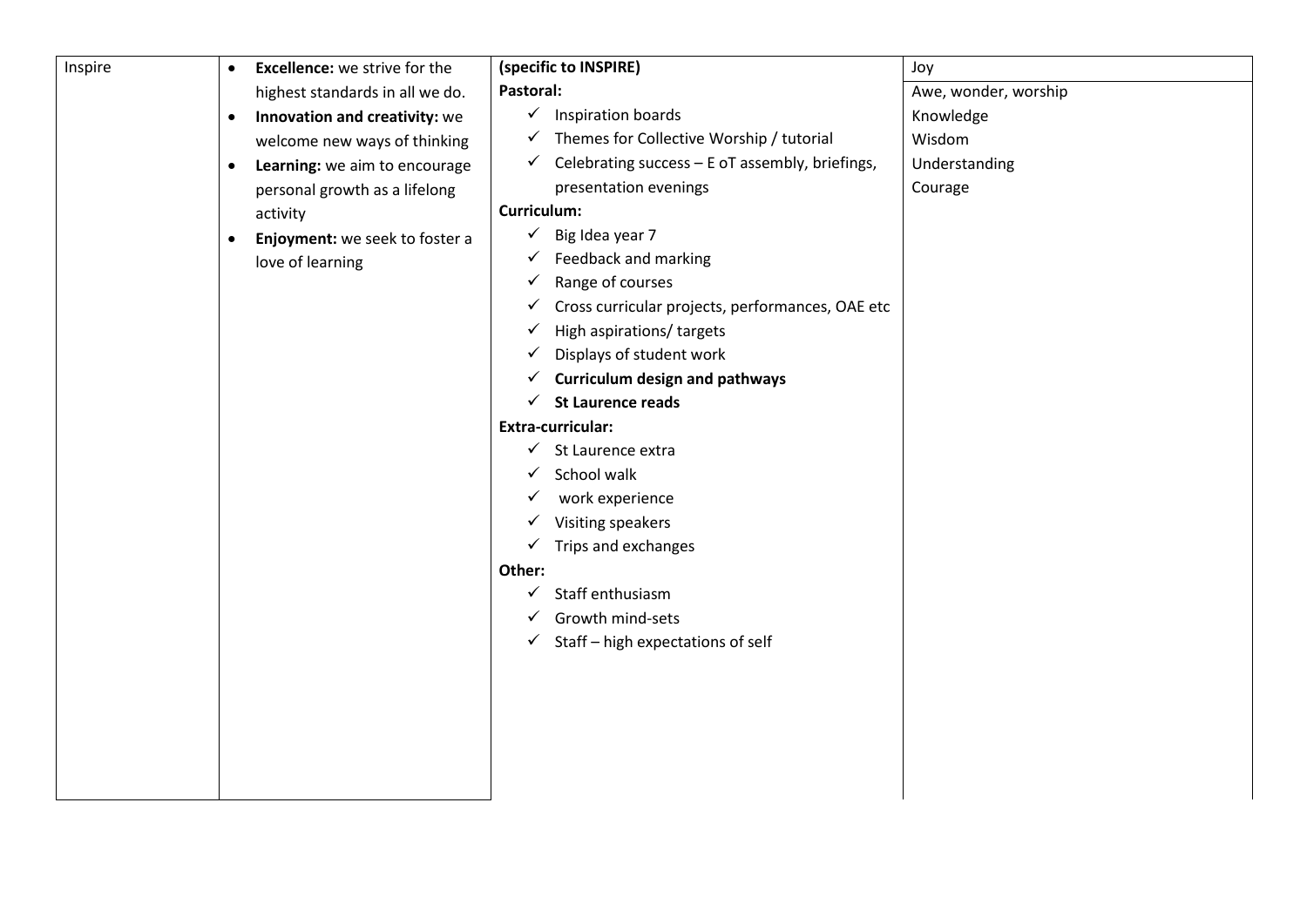| Inspire | <b>Excellence:</b> we strive for the<br>$\bullet$ | (specific to INSPIRE)                                            | Joy                  |
|---------|---------------------------------------------------|------------------------------------------------------------------|----------------------|
|         | highest standards in all we do.                   | Pastoral:                                                        | Awe, wonder, worship |
|         | Innovation and creativity: we<br>$\bullet$        | $\checkmark$ Inspiration boards                                  | Knowledge            |
|         | welcome new ways of thinking                      | $\checkmark$ Themes for Collective Worship / tutorial            | Wisdom               |
|         | Learning: we aim to encourage<br>$\bullet$        | Celebrating success - E oT assembly, briefings,<br>$\checkmark$  | Understanding        |
|         | personal growth as a lifelong                     | presentation evenings                                            | Courage              |
|         | activity                                          | Curriculum:                                                      |                      |
|         | Enjoyment: we seek to foster a<br>$\bullet$       | $\checkmark$ Big Idea year 7                                     |                      |
|         | love of learning                                  | $\checkmark$ Feedback and marking                                |                      |
|         |                                                   | Range of courses<br>$\checkmark$                                 |                      |
|         |                                                   | Cross curricular projects, performances, OAE etc<br>$\checkmark$ |                      |
|         |                                                   | High aspirations/ targets<br>$\checkmark$                        |                      |
|         |                                                   | Displays of student work<br>$\checkmark$                         |                      |
|         |                                                   | <b>Curriculum design and pathways</b><br>$\checkmark$            |                      |
|         |                                                   | $\checkmark$ St Laurence reads                                   |                      |
|         |                                                   | <b>Extra-curricular:</b>                                         |                      |
|         |                                                   | $\checkmark$ St Laurence extra                                   |                      |
|         |                                                   | School walk<br>$\checkmark$                                      |                      |
|         |                                                   | work experience<br>$\checkmark$                                  |                      |
|         |                                                   | Visiting speakers<br>$\checkmark$                                |                      |
|         |                                                   | $\checkmark$ Trips and exchanges                                 |                      |
|         |                                                   | Other:                                                           |                      |
|         |                                                   | Staff enthusiasm<br>$\checkmark$                                 |                      |
|         |                                                   | Growth mind-sets                                                 |                      |
|         |                                                   | $\checkmark$ Staff - high expectations of self                   |                      |
|         |                                                   |                                                                  |                      |
|         |                                                   |                                                                  |                      |
|         |                                                   |                                                                  |                      |
|         |                                                   |                                                                  |                      |
|         |                                                   |                                                                  |                      |
|         |                                                   |                                                                  |                      |